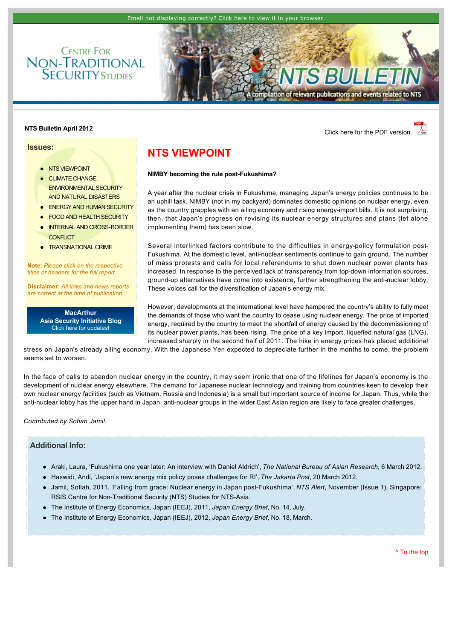

# **NTS Bulletin April 2012 NTS Bulletin April 2012**

**Issues:**

- **[NTS VIEWPOINT](http://www.rsis.edu.sg/nts/html-newsletter/bulletin/nts-bulletin-apr-1201.html#TOP)**
- **CLIMATE CHANGE** [ENVIRONMENTAL SECURITY](http://www.rsis.edu.sg/nts/html-newsletter/bulletin/nts-bulletin-apr-1201.html#CLIMATE)  AND NATURAL DISASTERS

**CENTRE FOR** 

- **[ENERGY AND HUMAN SECURITY](http://www.rsis.edu.sg/nts/html-newsletter/bulletin/nts-bulletin-apr-1201.html#ENERGY)**
- **[FOOD AND HEALTH SECURITY](http://www.rsis.edu.sg/nts/html-newsletter/bulletin/nts-bulletin-apr-1201.html#FOOD)**
- INTERNAL AND CROSS-BORDER **CONFLICT**
- **[TRANSNATIONAL CRIME](http://www.rsis.edu.sg/nts/html-newsletter/bulletin/nts-bulletin-apr-1201.html#TRANSNATIONAL)**

**Note:** *Please click on the respective titles or headers for the full report.*

**Disclaimer:** *All links and news reports are correct at the time of publication.*

> **MacArthur [Asia Security Initiative Blog](http://www.asicluster3.com/blog_self/index.php)** Click here for updates!

# <span id="page-0-0"></span>**NTS VIEWPOINT**

#### **NIMBY becoming the rule post-Fukushima?**

A year after the nuclear crisis in Fukushima, managing Japan's energy policies continues to be an uphill task. NIMBY (not in my backyard) dominates domestic opinions on nuclear energy, even as the country grapples with an ailing economy and rising energy-import bills. It is not surprising, then, that Japan's progress on revising its nuclear energy structures and plans (let alone implementing them) has been slow.

Several interlinked factors contribute to the difficulties in energy-policy formulation post-Fukushima. At the domestic level, anti-nuclear sentiments continue to gain ground. The number of mass protests and calls for local referendums to shut down nuclear power plants has increased. In response to the perceived lack of transparency from top-down information sources, ground-up alternatives have come into existence, further strengthening the anti-nuclear lobby. These voices call for the diversification of Japan's energy mix.

However, developments at the international level have hampered the country's ability to fully meet the demands of those who want the country to cease using nuclear energy. The price of imported energy, required by the country to meet the shortfall of energy caused by the decommissioning of its nuclear power plants, has been rising. The price of a key import, liquefied natural gas (LNG), increased sharply in the second half of 2011. The hike in energy prices has placed additional

stress on Japan's already ailing economy. With the Japanese Yen expected to depreciate further in the months to come, the problem seems set to worsen.

In the face of calls to abandon nuclear energy in the country, it may seem ironic that one of the lifelines for Japan's economy is the development of nuclear energy elsewhere. The demand for Japanese nuclear technology and training from countries keen to develop their own nuclear energy facilities (such as Vietnam, Russia and Indonesia) is a small but important source of income for Japan. Thus, while the anti-nuclear lobby has the upper hand in Japan, anti-nuclear groups in the wider East Asian region are likely to face greater challenges.

*[Contributed by Sofiah Jamil.](http://www.rsis.edu.sg/nts/people.asp?sid=77&prev=people)*

## **Additional Info:**

- l [Araki, Laura, 'Fukushima one year later: An interview with Daniel Aldrich',](http://www.nbr.org/research/activity.aspx?id=219) *The National Bureau of Asian Research*, 6 March 2012.
- l [Haswidi, Andi, 'Japan's new energy mix policy poses challenges for RI',](http://www.thejakartapost.com/news/2012/03/20/japan-s-new-energy-mix-policy-poses-challenges-ri.html-0) *The Jakarta Post*, 20 March 2012.
- l [Jamil, Sofiah, 2011, 'Falling from grace: Nuclear energy in Japan postFukushima',](http://www.rsis.edu.sg/nts/html-newsletter/alert/nts-alert-nov-1101.html) *NTS Alert*, November (Issue 1), Singapore: RSIS Centre for Non-Traditional Security (NTS) Studies for NTS-Asia.
- l [The Institute of Energy Economics, Japan \(IEEJ\), 2011,](http://eneken.ieej.or.jp/en/jeb/1107.pdf) *Japan Energy Brief*, No. 14, July.
- l [The Institute of Energy Economics, Japan \(IEEJ\), 2012,](http://eneken.ieej.or.jp/en/jeb/1203.pdf) *Japan Energy Brief*, No. 18, March.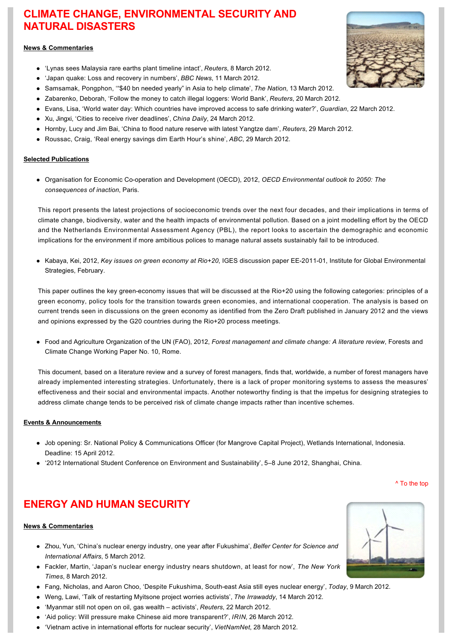# **CLIMATE CHANGE, ENVIRONMENTAL SECURITY AND NATURAL DISASTERS**

## **News & Commentaries**

- l '[Lynas sees Malaysia rare earths plant timeline intact',](http://www.reuters.com/article/2012/03/09/lynas-malaysia-idUSL4E8E88XT20120309) *Reuters*, 8 March 2012.
- l '[Japan quake: Loss and recovery in numbers',](http://www.bbc.co.uk/news/world-asia-17219008) *BBC News*, 11 March 2012.
- l [Samsamak, Pongphon, '"\\$40 bn needed yearly"](http://www.nationmultimedia.com/national/$40-bn-needed-yearly-in-Asia-to-help-climate-30177808.html) in Asia to help climate', *The Nation*, 13 March 2012.
- l [Zabarenko, Deborah, 'Follow the money to catch illegal loggers: World Bank',](http://www.reuters.com/article/2012/03/21/us-logging-money-idUSBRE82K00620120321) *Reuters*, 20 March 2012.
- l [Evans, Lisa, 'World water day: Which countries have improved access to safe drinking water?',](http://www.guardian.co.uk/news/datablog/2012/mar/22/who-water-sanitation-goals) *Guardian*, 22 March 2012.
- [Xu, Jingxi, 'Cities to receive river deadlines',](http://www.chinadaily.com.cn/cndy/2012-03/24/content_14902999.htm) *China Daily*, 24 March 2012.
- l [Hornby, Lucy and Jim Bai, 'China to flood nature reserve with latest Yangtze dam',](http://www.reuters.com/article/2012/03/29/us-china-dam-idUSBRE82S0GG20120329) *Reuters*, 29 March 2012.
- **[Roussac, Craig, 'Real energy savings dim Earth Hour's shine',](http://www.abc.net.au/environment/articles/2012/03/29/3466777.htm)** *ABC***, 29 March 2012.**

### **Selected Publications**

• Organisation for Economic Co-operation and Development (OECD), 2012, *OECD Environmental outlook to 2050: The consequences of inaction*, Paris.

This report presents the latest projections of socioeconomic trends over the next four decades, and their implications in terms of climate change, biodiversity, water and the health impacts of environmental pollution. Based on a joint modelling effort by the OECD and the Netherlands Environmental Assessment Agency (PBL), the report looks to ascertain the demographic and economic implications for the environment if more ambitious polices to manage natural assets sustainably fail to be introduced.

• Kabaya, Kei, 2012, Key issues on green economy at Rio+20, IGES discussion paper EE-2011-01, Institute for Global Environmental Strategies, February.

This paper outlines the key green-economy issues that will be discussed at the Rio+20 using the following categories: principles of a green economy, policy tools for the transition towards green economies, and international cooperation. The analysis is based on current trends seen in discussions on the green economy as identified from the Zero Draft published in January 2012 and the views and opinions expressed by the G20 countries during the Rio+20 process meetings.

l Food and Agriculture Organization of the UN (FAO), 2012, *[Forest management and climate change: A literature review](http://www.fao.org/docrep/015/md012e/md012e00.pdf)*, Forests and Climate Change Working Paper No. 10, Rome.

This document, based on a literature review and a survey of forest managers, finds that, worldwide, a number of forest managers have already implemented interesting strategies. Unfortunately, there is a lack of proper monitoring systems to assess the measures' effectiveness and their social and environmental impacts. Another noteworthy finding is that the impetus for designing strategies to address climate change tends to be perceived risk of climate change impacts rather than incentive schemes.

### **Events & Announcements**

- Job opening: Sr. National Policy & Communications Officer (for Mangrove Capital Project), Wetlands International, Indonesia. Deadline: 15 April 2012.
- l ['2012 International Student Conference on Environment and Sustainability', 5–8 June 2012, Shanghai, China.](http://unep-iesd.tongji.edu.cn/index.php?classid=875)

[^ To the top](#page-0-0)

# **ENERGY AND HUMAN SECURITY**

### **News & Commentaries**

- [Zhou, Yun, 'China's nuclear energy industry, one year after Fukushima',](http://www.technologyandpolicy.org/2012/03/05/chinas-nuclear-energy-industry-one-year-after-fukushima/?hq_e=el&hq_m=1437000&hq_l=2&hq_v=ad25b2dcb6) *Belfer Center for Science and International Affairs*, 5 March 2012.
- l [Fackler, Martin, 'Japan's nuclear energy industry nears shutdown, at least for now',](http://www.nytimes.com/2012/03/09/world/asia/japan-shutting-down-its-nuclear-power-industry.html?_r=1&ref=asia) *The New York Times*, 8 March 2012.
- l [Fang, Nicholas, and Aaron Choo, 'Despite Fukushima, Southeast Asia still eyes nuclear energy',](http://www.todayonline.com/Singapore/EDC120309-0000007/Despite-Fukushima,-South-east-Asia-still-eyes-nuclear-energy) *Today*, 9 March 2012.
- l [Weng, Lawi, 'Talk of restarting Myitsone project worries activists',](http://www.irrawaddy.org/article.php?art_id=23212) *The Irrawaddy*, 14 March 2012.
- l ['Myanmar still not open on oil, gas wealth –](http://www.reuters.com/article/2012/03/22/myanmar-energy-idUSL3E8EL5LL20120322) activists', *Reuters*, 22 March 2012.
- l ['Aid policy: Will pressure make Chinese aid more transparent?',](http://www.irinnews.org/Report/95158/AID-POLICY-Will-pressure-make-Chinese-aid-more-transparent) *IRIN*, 26 March 2012.
- l ['Vietnam active in international efforts for nuclear security',](http://english.vietnamnet.vn/en/politics/20483/vietnam-active-in-international-efforts-for-nuclear-security.html) *VietNamNet*, 28 March 2012.



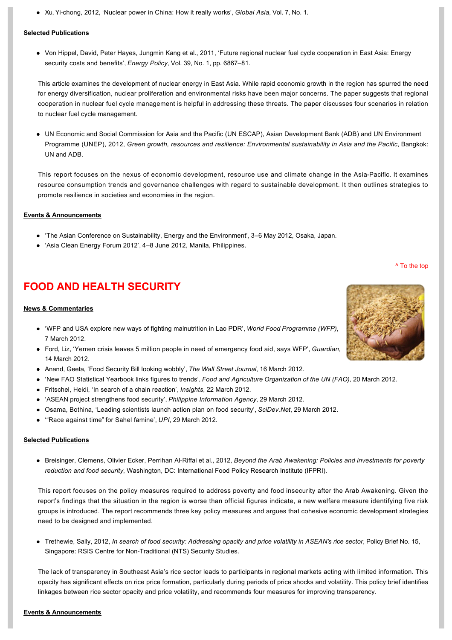l [Xu, Yichong, 2012, 'Nuclear power in China: How it really works',](http://www.globalasia.org/V7N1_Spring_2012/Xu_Yi-chong.html) *Global Asia*, Vol. 7, No. 1.

#### **Selected Publications**

• Von Hippel, David, Peter Hayes, Jungmin Kang et al., 2011, 'Future regional nuclear fuel cycle cooperation in East Asia: Energy security costs and benefits', *Energy Policy*, Vol. 39, No. 1, pp. 6867–81.

This article examines the development of nuclear energy in East Asia. While rapid economic growth in the region has spurred the need for energy diversification, nuclear proliferation and environmental risks have been major concerns. The paper suggests that regional cooperation in nuclear fuel cycle management is helpful in addressing these threats. The paper discusses four scenarios in relation to nuclear fuel cycle management.

• UN Economic and Social Commission for Asia and the Pacific (UN ESCAP), Asian Development Bank (ADB) and UN Environment Programme (UNEP), 2012, *Green growth, resources and resilience: Environmental sustainability in Asia and the Pacific*, Bangkok: UN and ADB.

This report focuses on the nexus of economic development, resource use and climate change in the AsiaPacific. It examines resource consumption trends and governance challenges with regard to sustainable development. It then outlines strategies to promote resilience in societies and economies in the region.

### **Events & Announcements**

- l ['The Asian Conference on Sustainability, Energy and the Environment', 3–6 May 2012, Osaka, Japan.](http://www.acsee.iafor.org/)
- 'Asia Clean Energy Forum 2012', 4-8 June 2012, Manila, Philippines.

# **FOOD AND HEALTH SECURITY**

### **News & Commentaries**

- l ['WFP and USA explore new ways of fighting malnutrition in Lao PDR',](http://www.wfp.org/news/news-release/wfp-and-usa-explore-new-ways-fighting-malnutrition-lao-pdr) *World Food Programme (WFP)*, 7 March 2012.
- l [Ford, Liz, 'Yemen crisis leaves 5 million people in need of emergency food aid, says WFP',](http://www.guardian.co.uk/global-development/2012/mar/14/yemen-crisis-emergency-food-aid?newsfeed=true) *Guardian*, 14 March 2012.
- l [Anand, Geeta, 'Food Security Bill looking wobbly',](http://blogs.wsj.com/indiarealtime/2012/03/16/food-security-bill-looking-wobbly/?mod=google_news_blog) *The Wall Street Journal*, 16 March 2012.
- l ['New FAO Statistical Yearbook links figures to trends',](http://www.fao.org/news/story/en/item/128621/icode/) *Food and Agriculture Organization of the UN (FAO)*, 20 March 2012.
- l [Fritschel, Heidi, 'In search of a chain reaction',](http://insights.ifpri.info/2012/03/in-search-of-a-chain-reaction/) *Insights*, 22 March 2012.
- l ['ASEAN project strengthens food security',](http://www.pia.gov.ph/news/index.php?article=2101333019160) *Philippine Information Agency*, 29 March 2012.
- l [Osama, Bothina, 'Leading scientists launch action plan on food security',](http://www.scidev.net/en/agriculture-and-environment/planet-under-pressure-2012-2/news/leading-scientists-launch-action-plan-on-food-security-1.html) *SciDev.Net*, 29 March 2012.
- l ['"Race against time"](http://www.upi.com/Business_News/Energy-Resources/2012/03/29/Race-against-time-for-Sahel-famine/UPI-13491333023407/) for Sahel famine', *UPI*, 29 March 2012.

### **Selected Publications**

l Breisinger, Clemens, Olivier Ecker, Perrihan AlRiffai et al., 2012, *Beyond the Arab Awakening: Policies and investments for poverty reduction and food security*[, Washington, DC: International Food Policy Research Institute \(IFPRI\).](http://www.ifpri.org/publication/beyond-arab-awakening)

This report focuses on the policy measures required to address poverty and food insecurity after the Arab Awakening. Given the report's findings that the situation in the region is worse than official figures indicate, a new welfare measure identifying five risk groups is introduced. The report recommends three key policy measures and argues that cohesive economic development strategies need to be designed and implemented.

l Trethewie, Sally, 2012, *[In search of food security: Addressing opacity and price volatility in ASEAN's rice sector](http://www.rsis.edu.sg/nts/HTML-Newsletter/Policy-Brief/pdf/Policy_Brief_190312.pdf)*, Policy Brief No. 15, Singapore: RSIS Centre for Non-Traditional (NTS) Security Studies.

The lack of transparency in Southeast Asia's rice sector leads to participants in regional markets acting with limited information. This opacity has significant effects on rice price formation, particularly during periods of price shocks and volatility. This policy brief identifies linkages between rice sector opacity and price volatility, and recommends four measures for improving transparency.



[^ To the top](#page-0-0)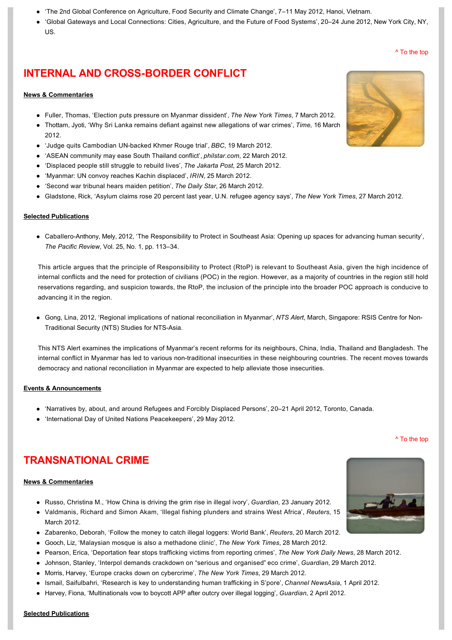- l ['The 2nd Global Conference on Agriculture, Food Security and Climate Change', 7–11 May 2012, Hanoi, Vietnam.](http://www.afcconference.com/)
- l ['Global Gateways and Local Connections: Cities, Agriculture, and the Future of Food Systems', 20–24 June 2012, New York City, NY,](http://www.food-culture.org/conference.php)  US.

# **INTERNAL AND CROSS-BORDER CONFLICT**

### **News & Commentaries**

- l [Fuller, Thomas, 'Election puts pressure on Myanmar dissident',](http://www.nytimes.com/2012/03/08/world/asia/in-election-a-new-risk-for-aung-san-suu-kyi.html?pagewanted=1&ref=asia) *The New York Times*, 7 March 2012.
- [Thottam, Jyoti, 'Why Sri Lanka remains defiant against new allegations of war crimes',](http://globalspin.blogs.time.com/2012/03/16/why-sri-lanka-remains-defiant-against-new-allegations-of-war-crimes/) *Time*, 16 March 2012.
- $\bullet$  'Judge quits Cambodian UN-backed Khmer Rouge trial', *BBC*, 19 March 2012.
- l ['ASEAN community may ease South Thailand conflict',](http://www.philstar.com/Article.aspx?articleId=790060&publicationSubCategoryId=200) *philstar.com*, 22 March 2012.
- l ['Displaced people still struggle to rebuild lives',](http://www.thejakartapost.com/news/2012/03/25/displaced-people-still-struggle-rebuild-lives.html) *The Jakarta Post*, 25 March 2012.
- l ['Myanmar: UN convoy reaches Kachin displaced',](http://www.irinnews.org/Report/95150/MYANMAR-UN-convoy-reaches-Kachin-displaced) *IRIN*, 25 March 2012.
- l ['Second war tribunal hears maiden petition',](http://www.thedailystar.net/newDesign/news-details.php?nid=227724) *The Daily Star*, 26 March 2012.
- l [Gladstone, Rick, 'Asylum claims rose 20 percent last year, U.N. refugee agency says',](http://www.nytimes.com/2012/03/28/world/asylum-claims-up-20-percent.html?ref=asia) *The New York Times*, 27 March 2012.

#### **Selected Publications**

• Caballero-Anthony, Mely, 2012, 'The Responsibility to Protect in Southeast Asia: Opening up spaces for advancing human security', *The Pacific Review*, Vol. 25, No. 1, pp. 113–34.

This article argues that the principle of Responsibility to Protect (RtoP) is relevant to Southeast Asia, given the high incidence of internal conflicts and the need for protection of civilians (POC) in the region. However, as a majority of countries in the region still hold reservations regarding, and suspicion towards, the RtoP, the inclusion of the principle into the broader POC approach is conducive to advancing it in the region.

l [Gong, Lina, 2012, 'Regional implications of national reconciliation in Myanmar',](http://www.rsis.edu.sg/nts/HTML-Newsletter/alert/NTS-alert-mar-1201.html) *NTS Alert*, March, Singapore: RSIS Centre for Non-Traditional Security (NTS) Studies for NTS-Asia.

This NTS Alert examines the implications of Myanmar's recent reforms for its neighbours, China, India, Thailand and Bangladesh. The internal conflict in Myanmar has led to various non-traditional insecurities in these neighbouring countries. The recent moves towards democracy and national reconciliation in Myanmar are expected to help alleviate those insecurities.

#### **Events & Announcements**

- l ['Narratives by, about, and around Refugees and Forcibly Displaced Persons', 20–21 April 2012, Toronto, Canada.](http://www.refugeeresearch.net/node/8973)
- ['International Day of United Nations Peacekeepers', 29 May 2012.](http://www.un.org/en/events/peacekeepersday/2011/)

# **TRANSNATIONAL CRIME**

#### **News & Commentaries**

- l [Russo, Christina M., 'How China is driving the grim rise in illegal ivory',](http://www.guardian.co.uk/environment/2012/jan/23/china-rise-illegal-ivory) *Guardian*, 23 January 2012.
- l [Valdmanis, Richard and Simon Akam, 'Illegal fishing plunders and strains West Africa',](http://www.reuters.com/article/2012/03/15/us-westafrica-fishing-idUSBRE82E0HD20120315) *Reuters*, 15 March 2012.
- l [Zabarenko, Deborah, 'Follow the money to catch illegal loggers: World Bank',](http://www.reuters.com/article/2012/03/21/us-logging-money-idUSBRE82K00620120321) *Reuters*, 20 March 2012.
- l [Gooch, Liz, 'Malaysian mosque is also a methadone clinic',](http://www.nytimes.com/2012/03/29/world/asia/malaysian-mosque-is-also-methadone-clinic.html?_r=1) *The New York Times*, 28 March 2012.
- l [Pearson, Erica, 'Deportation fear stops trafficking victims from reporting crimes',](http://www.nydailynews.com/new-york/fear-deportation-stops-immigrants-reporting-crimes-article-1.1051967) *The New York Daily News*, 28 March 2012.
- l [Johnson, Stanley, 'Interpol demands crackdown on "serious and organised"](http://www.guardian.co.uk/environment/2012/mar/29/interpol-environmental-crime-ivory-poaching?newsfeed=true) eco crime', *Guardian*, 29 March 2012.
- l [Morris, Harvey, 'Europe cracks down on cybercrime',](http://rendezvous.blogs.nytimes.com/2012/03/29/europe-cracks-down-on-cybercrime/) *The New York Times*, 29 March 2012.
- l [Ismail, Saifulbahri, 'Research is key to understanding human trafficking in S'pore',](http://www.channelnewsasia.com/stories/singaporelocalnews/view/1192558/1/.html) *Channel NewsAsia*, 1 April 2012.
- l [Harvey, Fiona, 'Multinationals vow to boycott APP after outcry over illegal logging',](http://www.guardian.co.uk/environment/2012/apr/02/boycott-app-illegal-logging?INTCMP=ILCNETTXT3487) *Guardian*, 2 April 2012.





[^ To the top](#page-0-0)